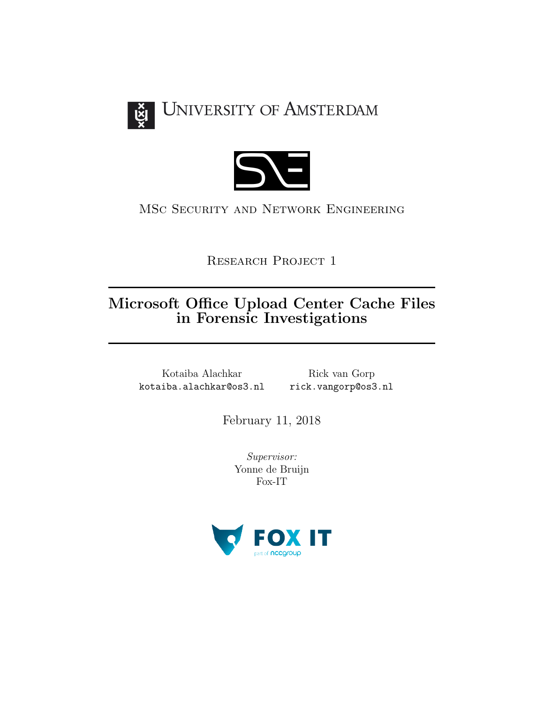



MSc Security and Network Engineering

RESEARCH PROJECT 1

# Microsoft Office Upload Center Cache Files in Forensic Investigations

Kotaiba Alachkar kotaiba.alachkar@os3.nl

Rick van Gorp rick.vangorp@os3.nl

February 11, 2018

Supervisor: Yonne de Bruijn Fox-IT

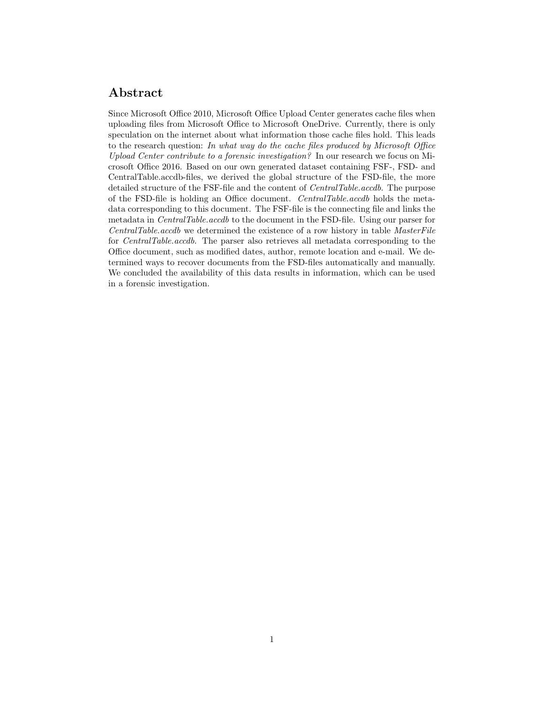## Abstract

Since Microsoft Office 2010, Microsoft Office Upload Center generates cache files when uploading files from Microsoft Office to Microsoft OneDrive. Currently, there is only speculation on the internet about what information those cache files hold. This leads to the research question: In what way do the cache files produced by Microsoft Office Upload Center contribute to a forensic investigation? In our research we focus on Microsoft Office 2016. Based on our own generated dataset containing FSF-, FSD- and CentralTable.accdb-files, we derived the global structure of the FSD-file, the more detailed structure of the FSF-file and the content of CentralTable.accdb. The purpose of the FSD-file is holding an Office document. CentralTable.accdb holds the metadata corresponding to this document. The FSF-file is the connecting file and links the metadata in CentralTable.accdb to the document in the FSD-file. Using our parser for CentralTable.accdb we determined the existence of a row history in table MasterFile for CentralTable.accdb. The parser also retrieves all metadata corresponding to the Office document, such as modified dates, author, remote location and e-mail. We determined ways to recover documents from the FSD-files automatically and manually. We concluded the availability of this data results in information, which can be used in a forensic investigation.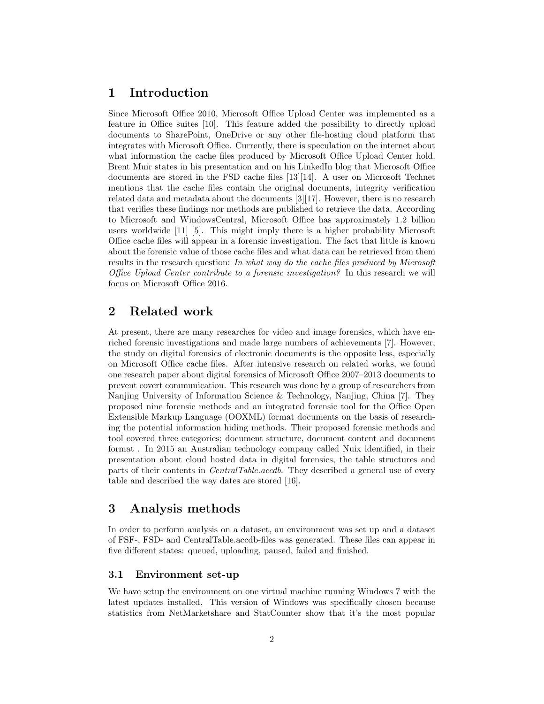## 1 Introduction

Since Microsoft Office 2010, Microsoft Office Upload Center was implemented as a feature in Office suites [\[10\]](#page-14-0). This feature added the possibility to directly upload documents to SharePoint, OneDrive or any other file-hosting cloud platform that integrates with Microsoft Office. Currently, there is speculation on the internet about what information the cache files produced by Microsoft Office Upload Center hold. Brent Muir states in his presentation and on his LinkedIn blog that Microsoft Office documents are stored in the FSD cache files [\[13\]](#page-14-1)[\[14\]](#page-14-2). A user on Microsoft Technet mentions that the cache files contain the original documents, integrity verification related data and metadata about the documents [\[3\]](#page-14-3)[\[17\]](#page-15-0). However, there is no research that verifies these findings nor methods are published to retrieve the data. According to Microsoft and WindowsCentral, Microsoft Office has approximately 1.2 billion users worldwide [\[11\]](#page-14-4) [\[5\]](#page-14-5). This might imply there is a higher probability Microsoft Office cache files will appear in a forensic investigation. The fact that little is known about the forensic value of those cache files and what data can be retrieved from them results in the research question: In what way do the cache files produced by Microsoft Office Upload Center contribute to a forensic investigation? In this research we will focus on Microsoft Office 2016.

## 2 Related work

At present, there are many researches for video and image forensics, which have enriched forensic investigations and made large numbers of achievements [\[7\]](#page-14-6). However, the study on digital forensics of electronic documents is the opposite less, especially on Microsoft Office cache files. After intensive research on related works, we found one research paper about digital forensics of Microsoft Office 2007–2013 documents to prevent covert communication. This research was done by a group of researchers from Nanjing University of Information Science & Technology, Nanjing, China [\[7\]](#page-14-6). They proposed nine forensic methods and an integrated forensic tool for the Office Open Extensible Markup Language (OOXML) format documents on the basis of researching the potential information hiding methods. Their proposed forensic methods and tool covered three categories; document structure, document content and document format . In 2015 an Australian technology company called Nuix identified, in their presentation about cloud hosted data in digital forensics, the table structures and parts of their contents in CentralTable.accdb. They described a general use of every table and described the way dates are stored [\[16\]](#page-15-1).

## 3 Analysis methods

In order to perform analysis on a dataset, an environment was set up and a dataset of FSF-, FSD- and CentralTable.accdb-files was generated. These files can appear in five different states: queued, uploading, paused, failed and finished.

### 3.1 Environment set-up

We have setup the environment on one virtual machine running Windows 7 with the latest updates installed. This version of Windows was specifically chosen because statistics from NetMarketshare and StatCounter show that it's the most popular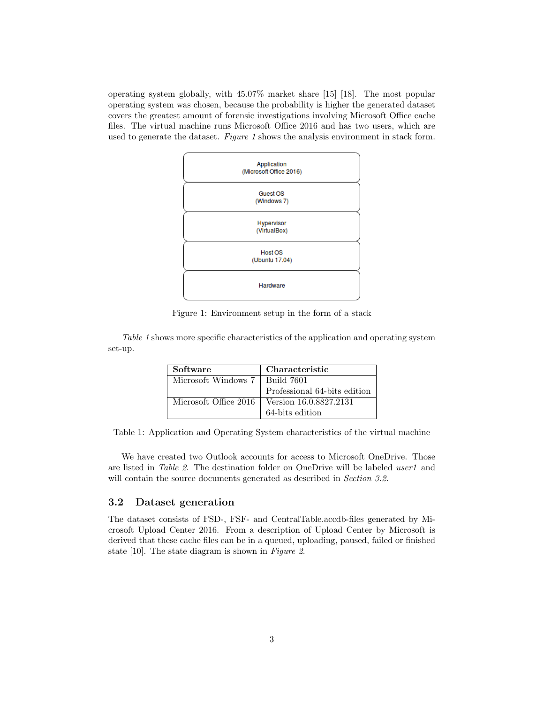<span id="page-3-0"></span>operating system globally, with 45.07% market share [\[15\]](#page-15-2) [\[18\]](#page-15-3). The most popular operating system was chosen, because the probability is higher the generated dataset covers the greatest amount of forensic investigations involving Microsoft Office cache files. The virtual machine runs Microsoft Office 2016 and has two users, which are used to generate the dataset. Figure [1](#page-3-0) shows the analysis environment in stack form.



Figure 1: Environment setup in the form of a stack

<span id="page-3-1"></span>Table [1](#page-3-1) shows more specific characteristics of the application and operating system set-up.

| Software              | Characteristic               |
|-----------------------|------------------------------|
| Microsoft Windows 7   | Build 7601                   |
|                       | Professional 64-bits edition |
| Microsoft Office 2016 | Version 16.0.8827.2131       |
|                       | 64-bits edition              |

Table 1: Application and Operating System characteristics of the virtual machine

We have created two Outlook accounts for access to Microsoft OneDrive. Those are listed in Table [2](#page-4-0). The destination folder on OneDrive will be labeled user1 and will contain the source documents generated as described in *Section 3.2*.

### 3.2 Dataset generation

The dataset consists of FSD-, FSF- and CentralTable.accdb-files generated by Microsoft Upload Center 2016. From a description of Upload Center by Microsoft is derived that these cache files can be in a queued, uploading, paused, failed or finished state [\[10\]](#page-14-0). The state diagram is shown in Figure [2](#page-4-1).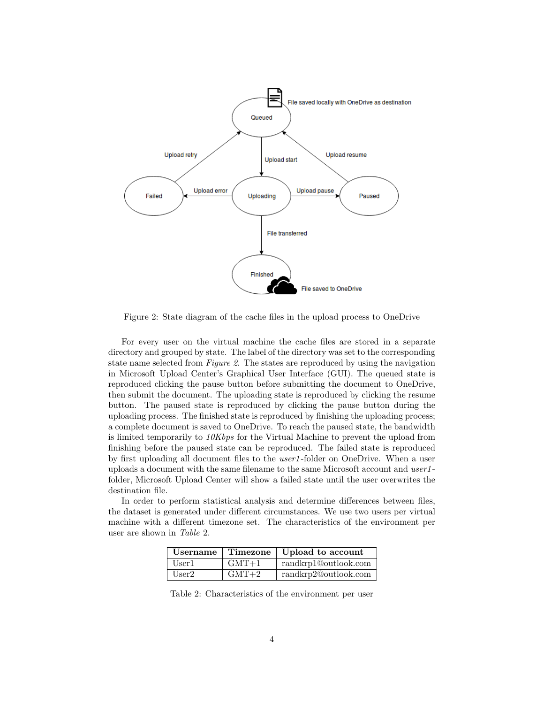<span id="page-4-1"></span>

Figure 2: State diagram of the cache files in the upload process to OneDrive

For every user on the virtual machine the cache files are stored in a separate directory and grouped by state. The label of the directory was set to the corresponding state name selected from *Figure [2](#page-4-1)*. The states are reproduced by using the navigation in Microsoft Upload Center's Graphical User Interface (GUI). The queued state is reproduced clicking the pause button before submitting the document to OneDrive, then submit the document. The uploading state is reproduced by clicking the resume button. The paused state is reproduced by clicking the pause button during the uploading process. The finished state is reproduced by finishing the uploading process; a complete document is saved to OneDrive. To reach the paused state, the bandwidth is limited temporarily to 10Kbps for the Virtual Machine to prevent the upload from finishing before the paused state can be reproduced. The failed state is reproduced by first uploading all document files to the *user1*-folder on OneDrive. When a user uploads a document with the same filename to the same Microsoft account and user1 folder, Microsoft Upload Center will show a failed state until the user overwrites the destination file.

<span id="page-4-0"></span>In order to perform statistical analysis and determine differences between files, the dataset is generated under different circumstances. We use two users per virtual machine with a different timezone set. The characteristics of the environment per user are shown in Table [2.](#page-4-0)

|       |         | Username   Timezone   Upload to account |
|-------|---------|-----------------------------------------|
| User1 | $GMT+1$ | randkrp1@outlook.com                    |
| User2 | $GMT+2$ | randkrp2@outlook.com                    |

Table 2: Characteristics of the environment per user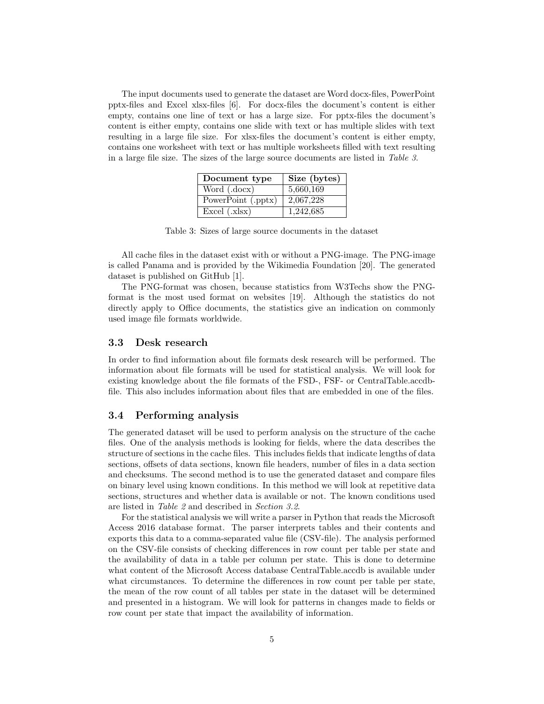<span id="page-5-0"></span>The input documents used to generate the dataset are Word docx-files, PowerPoint pptx-files and Excel xlsx-files [\[6\]](#page-14-7). For docx-files the document's content is either empty, contains one line of text or has a large size. For pptx-files the document's content is either empty, contains one slide with text or has multiple slides with text resulting in a large file size. For xlsx-files the document's content is either empty, contains one worksheet with text or has multiple worksheets filled with text resulting in a large file size. The sizes of the large source documents are listed in Table [3](#page-5-0).

| Document type                    | Size (bytes) |
|----------------------------------|--------------|
| Word (.docx)                     | 5,660,169    |
| PowerPoint (.pptx)               | 2,067,228    |
| $\text{Excel}$ ( $\text{xlsx}$ ) | 1,242,685    |

Table 3: Sizes of large source documents in the dataset

All cache files in the dataset exist with or without a PNG-image. The PNG-image is called Panama and is provided by the Wikimedia Foundation [\[20\]](#page-15-4). The generated dataset is published on GitHub [\[1\]](#page-14-8).

The PNG-format was chosen, because statistics from W3Techs show the PNGformat is the most used format on websites [\[19\]](#page-15-5). Although the statistics do not directly apply to Office documents, the statistics give an indication on commonly used image file formats worldwide.

### 3.3 Desk research

In order to find information about file formats desk research will be performed. The information about file formats will be used for statistical analysis. We will look for existing knowledge about the file formats of the FSD-, FSF- or CentralTable.accdbfile. This also includes information about files that are embedded in one of the files.

### 3.4 Performing analysis

The generated dataset will be used to perform analysis on the structure of the cache files. One of the analysis methods is looking for fields, where the data describes the structure of sections in the cache files. This includes fields that indicate lengths of data sections, offsets of data sections, known file headers, number of files in a data section and checksums. The second method is to use the generated dataset and compare files on binary level using known conditions. In this method we will look at repetitive data sections, structures and whether data is available or not. The known conditions used are listed in Table [2](#page-4-0) and described in Section 3.2.

For the statistical analysis we will write a parser in Python that reads the Microsoft Access 2016 database format. The parser interprets tables and their contents and exports this data to a comma-separated value file (CSV-file). The analysis performed on the CSV-file consists of checking differences in row count per table per state and the availability of data in a table per column per state. This is done to determine what content of the Microsoft Access database CentralTable.accdb is available under what circumstances. To determine the differences in row count per table per state, the mean of the row count of all tables per state in the dataset will be determined and presented in a histogram. We will look for patterns in changes made to fields or row count per state that impact the availability of information.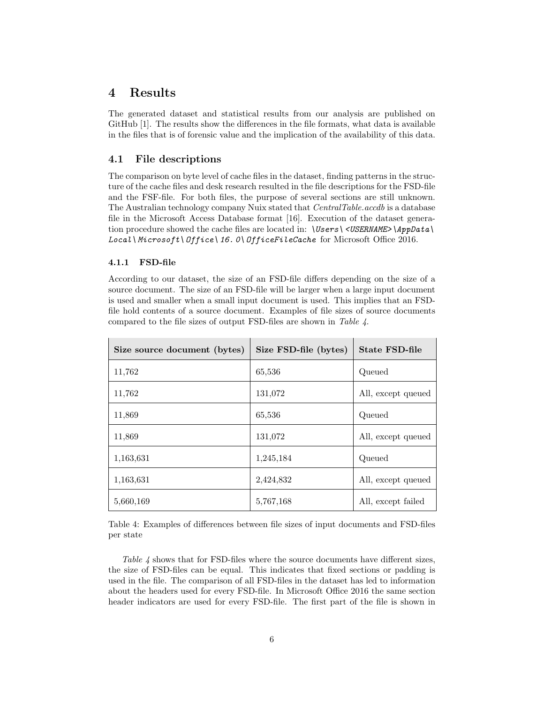## 4 Results

The generated dataset and statistical results from our analysis are published on GitHub [\[1\]](#page-14-8). The results show the differences in the file formats, what data is available in the files that is of forensic value and the implication of the availability of this data.

### 4.1 File descriptions

The comparison on byte level of cache files in the dataset, finding patterns in the structure of the cache files and desk research resulted in the file descriptions for the FSD-file and the FSF-file. For both files, the purpose of several sections are still unknown. The Australian technology company Nuix stated that CentralTable.accdb is a database file in the Microsoft Access Database format [\[16\]](#page-15-1). Execution of the dataset generation procedure showed the cache files are located in:  $\text{V \textsc{s} }$  < USERNAME>\AppData\  $Local\$ Microsoft\ Office\ 16. 0\ OfficeFileCache for Microsoft Office 2016.

#### 4.1.1 FSD-file

According to our dataset, the size of an FSD-file differs depending on the size of a source document. The size of an FSD-file will be larger when a large input document is used and smaller when a small input document is used. This implies that an FSDfile hold contents of a source document. Examples of file sizes of source documents compared to the file sizes of output FSD-files are shown in Table [4](#page-6-0).

<span id="page-6-0"></span>

| Size source document (bytes) | Size FSD-file (bytes) | State FSD-file     |
|------------------------------|-----------------------|--------------------|
| 11,762                       | 65,536                | Queued             |
| 11,762                       | 131,072               | All, except queued |
| 11,869                       | 65,536                | Queued             |
| 11,869                       | 131,072               | All, except queued |
| 1,163,631                    | 1,245,184             | Queued             |
| 1,163,631                    | 2,424,832             | All, except queued |
| 5,660,169                    | 5,767,168             | All, except failed |

Table 4: Examples of differences between file sizes of input documents and FSD-files per state

Table  $\ddot{A}$  shows that for FSD-files where the source documents have different sizes, the size of FSD-files can be equal. This indicates that fixed sections or padding is used in the file. The comparison of all FSD-files in the dataset has led to information about the headers used for every FSD-file. In Microsoft Office 2016 the same section header indicators are used for every FSD-file. The first part of the file is shown in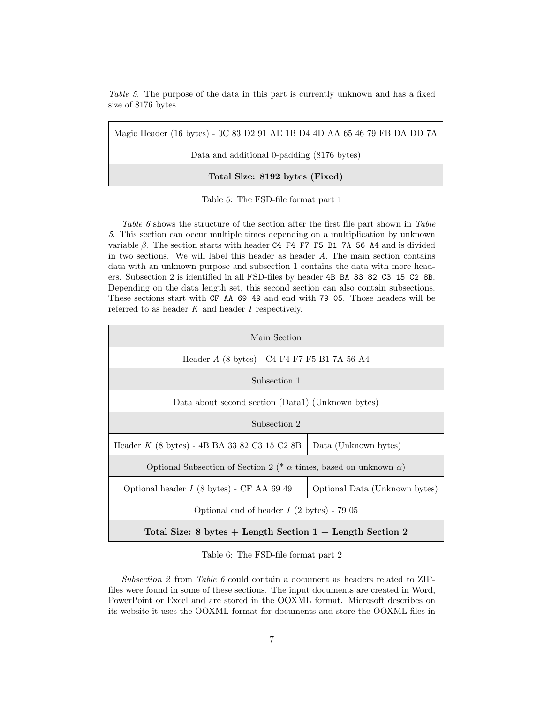Table [5](#page-7-0). The purpose of the data in this part is currently unknown and has a fixed size of 8176 bytes.

<span id="page-7-0"></span>

| Magic Header (16 bytes) - 0C 83 D2 91 AE 1B D4 4D AA 65 46 79 FB DA DD 7A |  |
|---------------------------------------------------------------------------|--|
| Data and additional 0-padding (8176 bytes)                                |  |
| Total Size: 8192 bytes (Fixed)                                            |  |

Table 5: The FSD-file format part 1

Table [6](#page-7-1) shows the structure of the section after the first file part shown in Table [5](#page-7-0). This section can occur multiple times depending on a multiplication by unknown variable  $β$ . The section starts with header C4 F4 F7 F5 B1 7A 56 A4 and is divided in two sections. We will label this header as header  $A$ . The main section contains data with an unknown purpose and subsection 1 contains the data with more headers. Subsection 2 is identified in all FSD-files by header 4B BA 33 82 C3 15 C2 8B. Depending on the data length set, this second section can also contain subsections. These sections start with CF AA 69 49 and end with 79 05. Those headers will be referred to as header  $K$  and header  $I$  respectively.

<span id="page-7-1"></span>

| Main Section                                                                    |                               |
|---------------------------------------------------------------------------------|-------------------------------|
| Header A (8 bytes) - C4 F4 F7 F5 B1 7A 56 A4                                    |                               |
| Subsection 1                                                                    |                               |
| Data about second section (Data1) (Unknown bytes)                               |                               |
| Subsection 2                                                                    |                               |
| Header $K$ (8 bytes) - 4B BA 33 82 C3 15 C2 8B                                  | Data (Unknown bytes)          |
| Optional Subsection of Section 2 (* $\alpha$ times, based on unknown $\alpha$ ) |                               |
| Optional header $I$ (8 bytes) - CF AA 69 49                                     | Optional Data (Unknown bytes) |
| Optional end of header $I$ (2 bytes) - 79 05                                    |                               |
| Total Size: 8 bytes $+$ Length Section 1 $+$ Length Section 2                   |                               |

#### Table 6: The FSD-file format part 2

Subsection 2 from Table [6](#page-7-1) could contain a document as headers related to ZIPfiles were found in some of these sections. The input documents are created in Word, PowerPoint or Excel and are stored in the OOXML format. Microsoft describes on its website it uses the OOXML format for documents and store the OOXML-files in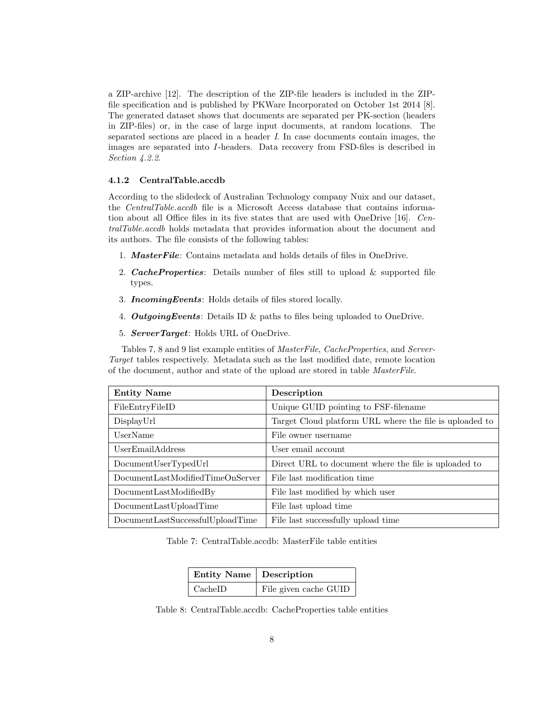a ZIP-archive [\[12\]](#page-14-9). The description of the ZIP-file headers is included in the ZIPfile specification and is published by PKWare Incorporated on October 1st 2014 [\[8\]](#page-14-10). The generated dataset shows that documents are separated per PK-section (headers in ZIP-files) or, in the case of large input documents, at random locations. The separated sections are placed in a header I. In case documents contain images, the images are separated into I-headers. Data recovery from FSD-files is described in Section 4.2.2.

#### 4.1.2 CentralTable.accdb

According to the slidedeck of Australian Technology company Nuix and our dataset, the CentralTable.accdb file is a Microsoft Access database that contains information about all Office files in its five states that are used with OneDrive [\[16\]](#page-15-1). CentralTable.accdb holds metadata that provides information about the document and its authors. The file consists of the following tables:

- 1. **MasterFile**: Contains metadata and holds details of files in OneDrive.
- 2. **CacheProperties**: Details number of files still to upload  $\&$  supported file types.
- 3. IncomingEvents: Holds details of files stored locally.
- 4. **OutgoingEvents**: Details ID  $\&$  paths to files being uploaded to OneDrive.
- 5. ServerTarget: Holds URL of OneDrive.

Tables [7,](#page-8-0) [8](#page-8-1) and [9](#page-9-0) list example entities of MasterFile, CacheProperties, and Server-Target tables respectively. Metadata such as the last modified date, remote location of the document, author and state of the upload are stored in table MasterFile.

<span id="page-8-0"></span>

| <b>Entity Name</b>               | Description                                             |
|----------------------------------|---------------------------------------------------------|
| FileEntryFileID                  | Unique GUID pointing to FSF-filename                    |
| DisplayUrl                       | Target Cloud platform URL where the file is uploaded to |
| UserName                         | File owner username                                     |
| UserEmailAddress                 | User email account                                      |
| DocumentUserTypedUrl             | Direct URL to document where the file is uploaded to    |
| DocumentLastModifiedTimeOnServer | File last modification time                             |
| DocumentLastModifiedBy           | File last modified by which user                        |
| DocumentLastUploadTime           | File last upload time                                   |
| DocumentLastSuccessfulUploadTime | File last successfully upload time                      |

<span id="page-8-1"></span>Table 7: CentralTable.accdb: MasterFile table entities

| Entity Name   Description |                       |
|---------------------------|-----------------------|
| $\mid$ CachelD            | File given cache GUID |

Table 8: CentralTable.accdb: CacheProperties table entities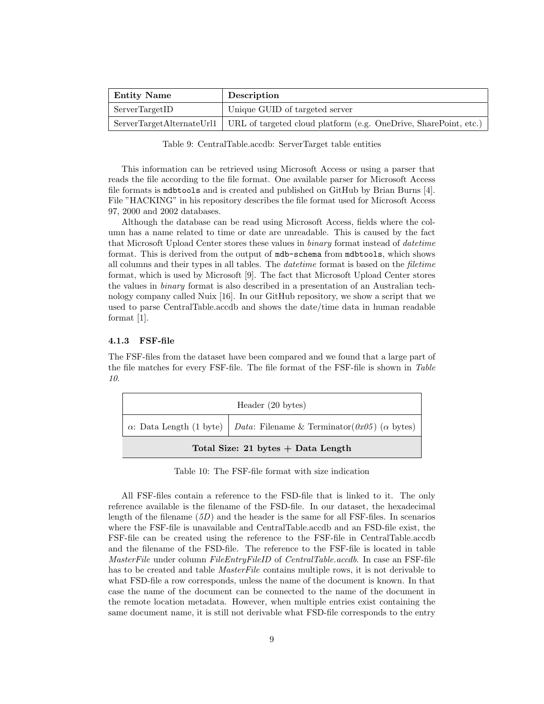<span id="page-9-0"></span>

| <b>Entity Name</b> | Description                                                                                  |
|--------------------|----------------------------------------------------------------------------------------------|
| ServerTargetID     | Unique GUID of targeted server                                                               |
|                    | ServerTargetAlternateUrl1   URL of targeted cloud platform (e.g. OneDrive, SharePoint, etc.) |

Table 9: CentralTable.accdb: ServerTarget table entities

This information can be retrieved using Microsoft Access or using a parser that reads the file according to the file format. One available parser for Microsoft Access file formats is mdbtools and is created and published on GitHub by Brian Burns [\[4\]](#page-14-11). File "HACKING" in his repository describes the file format used for Microsoft Access 97, 2000 and 2002 databases.

Although the database can be read using Microsoft Access, fields where the column has a name related to time or date are unreadable. This is caused by the fact that Microsoft Upload Center stores these values in binary format instead of datetime format. This is derived from the output of mdb-schema from mdbtools, which shows all columns and their types in all tables. The datetime format is based on the filetime format, which is used by Microsoft [\[9\]](#page-14-12). The fact that Microsoft Upload Center stores the values in binary format is also described in a presentation of an Australian technology company called Nuix [\[16\]](#page-15-1). In our GitHub repository, we show a script that we used to parse CentralTable.accdb and shows the date/time data in human readable format [\[1\]](#page-14-8).

#### 4.1.3 FSF-file

The FSF-files from the dataset have been compared and we found that a large part of the file matches for every FSF-file. The file format of the FSF-file is shown in Table [10](#page-9-1).

<span id="page-9-1"></span>

| Header $(20 \text{ bytes})$          |                                                                                                                             |
|--------------------------------------|-----------------------------------------------------------------------------------------------------------------------------|
|                                      | $\alpha$ : Data Length (1 byte)   Data: Filename & Terminator( $\partial x\partial \overline{\partial}$ ) ( $\alpha$ bytes) |
| Total Size: 21 bytes $+$ Data Length |                                                                                                                             |

Table 10: The FSF-file format with size indication

All FSF-files contain a reference to the FSD-file that is linked to it. The only reference available is the filename of the FSD-file. In our dataset, the hexadecimal length of the filename  $(5D)$  and the header is the same for all FSF-files. In scenarios where the FSF-file is unavailable and CentralTable.accdb and an FSD-file exist, the FSF-file can be created using the reference to the FSF-file in CentralTable.accdb and the filename of the FSD-file. The reference to the FSF-file is located in table MasterFile under column FileEntryFileID of CentralTable.accdb. In case an FSF-file has to be created and table *MasterFile* contains multiple rows, it is not derivable to what FSD-file a row corresponds, unless the name of the document is known. In that case the name of the document can be connected to the name of the document in the remote location metadata. However, when multiple entries exist containing the same document name, it is still not derivable what FSD-file corresponds to the entry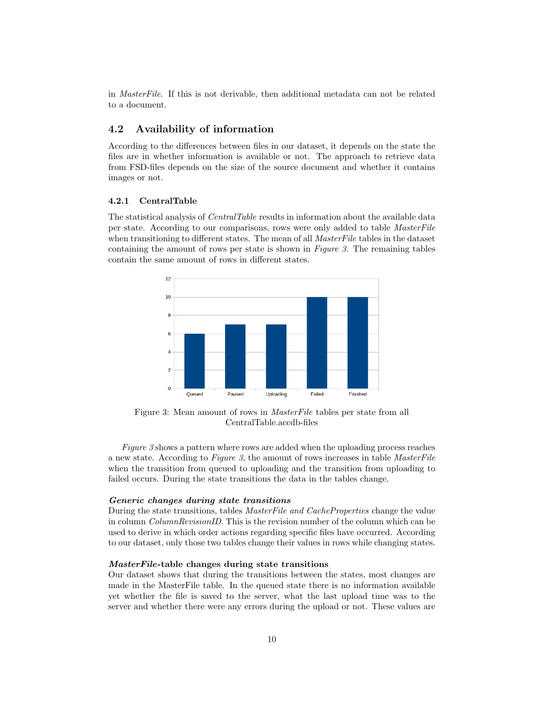in MasterFile. If this is not derivable, then additional metadata can not be related to a document.

### 4.2 Availability of information

According to the differences between files in our dataset, it depends on the state the files are in whether information is available or not. The approach to retrieve data from FSD-files depends on the size of the source document and whether it contains images or not.

#### 4.2.1 CentralTable

The statistical analysis of CentralTable results in information about the available data per state. According to our comparisons, rows were only added to table MasterFile when transitioning to different states. The mean of all *MasterFile* tables in the dataset containing the amount of rows per state is shown in Figure [3](#page-10-0). The remaining tables contain the same amount of rows in different states.

<span id="page-10-0"></span>

Figure 3: Mean amount of rows in MasterFile tables per state from all CentralTable.accdb-files

Figure [3](#page-10-0) shows a pattern where rows are added when the uploading process reaches a new state. According to Figure [3](#page-10-0), the amount of rows increases in table MasterFile when the transition from queued to uploading and the transition from uploading to failed occurs. During the state transitions the data in the tables change.

#### Generic changes during state transitions

During the state transitions, tables MasterFile and CacheProperties change the value in column ColumnRevisionID. This is the revision number of the column which can be used to derive in which order actions regarding specific files have occurred. According to our dataset, only those two tables change their values in rows while changing states.

### MasterFile-table changes during state transitions

Our dataset shows that during the transitions between the states, most changes are made in the MasterFile table. In the queued state there is no information available yet whether the file is saved to the server, what the last upload time was to the server and whether there were any errors during the upload or not. These values are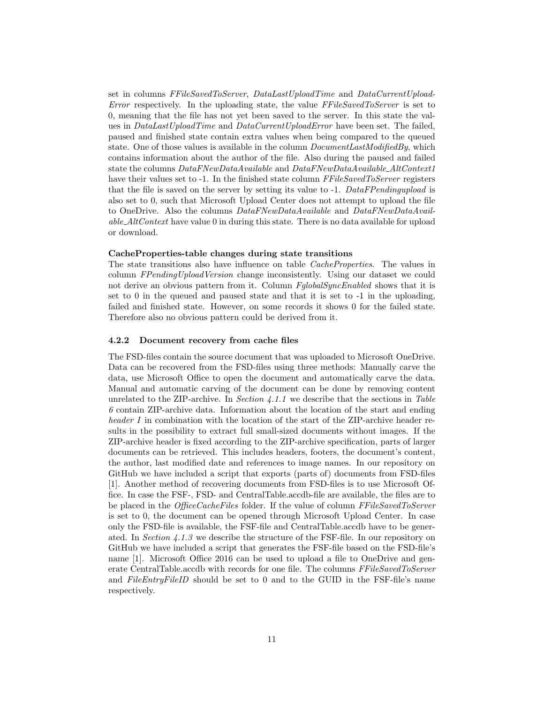set in columns FFileSavedToServer, DataLastUploadTime and DataCurrentUpload-Error respectively. In the uploading state, the value FFileSavedToServer is set to 0, meaning that the file has not yet been saved to the server. In this state the values in DataLastUploadTime and DataCurrentUploadError have been set. The failed, paused and finished state contain extra values when being compared to the queued state. One of those values is available in the column *DocumentLastModifiedBy*, which contains information about the author of the file. Also during the paused and failed state the columns DataFNewDataAvailable and DataFNewDataAvailable AltContext1 have their values set to -1. In the finished state column FFileSavedToServer registers that the file is saved on the server by setting its value to -1. DataFPendingupload is also set to 0, such that Microsoft Upload Center does not attempt to upload the file to OneDrive. Also the columns DataFNewDataAvailable and DataFNewDataAvailable AltContext have value 0 in during this state. There is no data available for upload or download.

#### CacheProperties-table changes during state transitions

The state transitions also have influence on table CacheProperties. The values in column FPendingUploadVersion change inconsistently. Using our dataset we could not derive an obvious pattern from it. Column FglobalSyncEnabled shows that it is set to 0 in the queued and paused state and that it is set to -1 in the uploading, failed and finished state. However, on some records it shows 0 for the failed state. Therefore also no obvious pattern could be derived from it.

#### 4.2.2 Document recovery from cache files

The FSD-files contain the source document that was uploaded to Microsoft OneDrive. Data can be recovered from the FSD-files using three methods: Manually carve the data, use Microsoft Office to open the document and automatically carve the data. Manual and automatic carving of the document can be done by removing content unrelated to the ZIP-archive. In Section  $4.1.1$  we describe that the sections in Table [6](#page-7-1) contain ZIP-archive data. Information about the location of the start and ending header I in combination with the location of the start of the ZIP-archive header results in the possibility to extract full small-sized documents without images. If the ZIP-archive header is fixed according to the ZIP-archive specification, parts of larger documents can be retrieved. This includes headers, footers, the document's content, the author, last modified date and references to image names. In our repository on GitHub we have included a script that exports (parts of) documents from FSD-files [\[1\]](#page-14-8). Another method of recovering documents from FSD-files is to use Microsoft Office. In case the FSF-, FSD- and CentralTable.accdb-file are available, the files are to be placed in the *OfficeCacheFiles* folder. If the value of column FFileSavedToServer is set to 0, the document can be opened through Microsoft Upload Center. In case only the FSD-file is available, the FSF-file and CentralTable.accdb have to be generated. In Section  $4.1.3$  we describe the structure of the FSF-file. In our repository on GitHub we have included a script that generates the FSF-file based on the FSD-file's name [\[1\]](#page-14-8). Microsoft Office 2016 can be used to upload a file to OneDrive and generate CentralTable.accdb with records for one file. The columns FFileSavedToServer and FileEntryFileID should be set to 0 and to the GUID in the FSF-file's name respectively.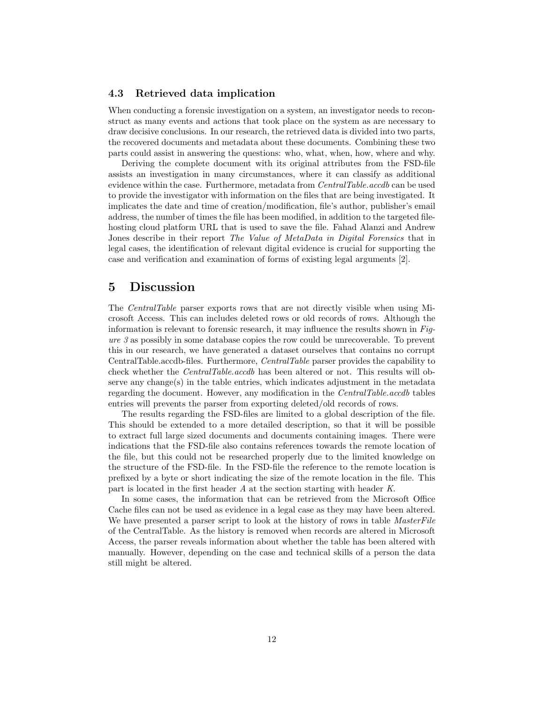### 4.3 Retrieved data implication

When conducting a forensic investigation on a system, an investigator needs to reconstruct as many events and actions that took place on the system as are necessary to draw decisive conclusions. In our research, the retrieved data is divided into two parts, the recovered documents and metadata about these documents. Combining these two parts could assist in answering the questions: who, what, when, how, where and why.

Deriving the complete document with its original attributes from the FSD-file assists an investigation in many circumstances, where it can classify as additional evidence within the case. Furthermore, metadata from *CentralTable.accdb* can be used to provide the investigator with information on the files that are being investigated. It implicates the date and time of creation/modification, file's author, publisher's email address, the number of times the file has been modified, in addition to the targeted filehosting cloud platform URL that is used to save the file. Fahad Alanzi and Andrew Jones describe in their report The Value of MetaData in Digital Forensics that in legal cases, the identification of relevant digital evidence is crucial for supporting the case and verification and examination of forms of existing legal arguments [\[2\]](#page-14-13).

### 5 Discussion

The CentralTable parser exports rows that are not directly visible when using Microsoft Access. This can includes deleted rows or old records of rows. Although the information is relevant to forensic research, it may influence the results shown in  $Fig ure 3$  $ure 3$  as possibly in some database copies the row could be unrecoverable. To prevent this in our research, we have generated a dataset ourselves that contains no corrupt CentralTable.accdb-files. Furthermore, CentralTable parser provides the capability to check whether the CentralTable.accdb has been altered or not. This results will observe any change $(s)$  in the table entries, which indicates adjustment in the metadata regarding the document. However, any modification in the CentralTable.accdb tables entries will prevents the parser from exporting deleted/old records of rows.

The results regarding the FSD-files are limited to a global description of the file. This should be extended to a more detailed description, so that it will be possible to extract full large sized documents and documents containing images. There were indications that the FSD-file also contains references towards the remote location of the file, but this could not be researched properly due to the limited knowledge on the structure of the FSD-file. In the FSD-file the reference to the remote location is prefixed by a byte or short indicating the size of the remote location in the file. This part is located in the first header A at the section starting with header K.

In some cases, the information that can be retrieved from the Microsoft Office Cache files can not be used as evidence in a legal case as they may have been altered. We have presented a parser script to look at the history of rows in table *MasterFile* of the CentralTable. As the history is removed when records are altered in Microsoft Access, the parser reveals information about whether the table has been altered with manually. However, depending on the case and technical skills of a person the data still might be altered.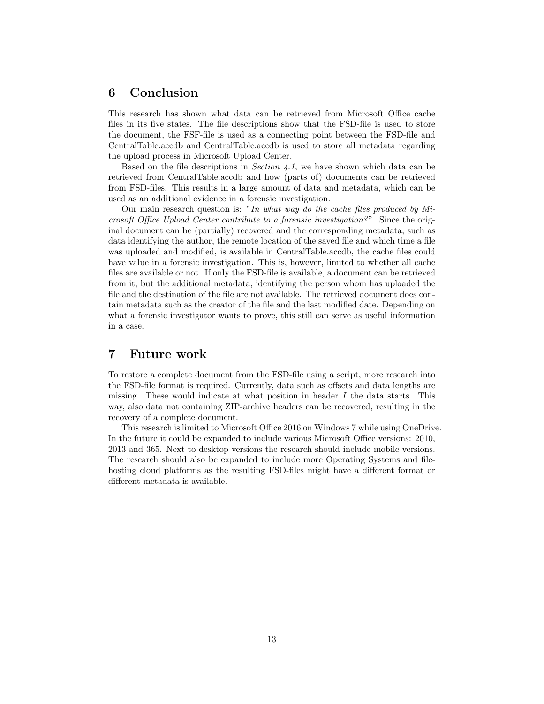## 6 Conclusion

This research has shown what data can be retrieved from Microsoft Office cache files in its five states. The file descriptions show that the FSD-file is used to store the document, the FSF-file is used as a connecting point between the FSD-file and CentralTable.accdb and CentralTable.accdb is used to store all metadata regarding the upload process in Microsoft Upload Center.

Based on the file descriptions in *Section 4.1*, we have shown which data can be retrieved from CentralTable.accdb and how (parts of) documents can be retrieved from FSD-files. This results in a large amount of data and metadata, which can be used as an additional evidence in a forensic investigation.

Our main research question is: "In what way do the cache files produced by  $Mi$ crosoft Office Upload Center contribute to a forensic investigation? ". Since the original document can be (partially) recovered and the corresponding metadata, such as data identifying the author, the remote location of the saved file and which time a file was uploaded and modified, is available in CentralTable.accdb, the cache files could have value in a forensic investigation. This is, however, limited to whether all cache files are available or not. If only the FSD-file is available, a document can be retrieved from it, but the additional metadata, identifying the person whom has uploaded the file and the destination of the file are not available. The retrieved document does contain metadata such as the creator of the file and the last modified date. Depending on what a forensic investigator wants to prove, this still can serve as useful information in a case.

## 7 Future work

To restore a complete document from the FSD-file using a script, more research into the FSD-file format is required. Currently, data such as offsets and data lengths are missing. These would indicate at what position in header  $I$  the data starts. This way, also data not containing ZIP-archive headers can be recovered, resulting in the recovery of a complete document.

This research is limited to Microsoft Office 2016 on Windows 7 while using OneDrive. In the future it could be expanded to include various Microsoft Office versions: 2010, 2013 and 365. Next to desktop versions the research should include mobile versions. The research should also be expanded to include more Operating Systems and filehosting cloud platforms as the resulting FSD-files might have a different format or different metadata is available.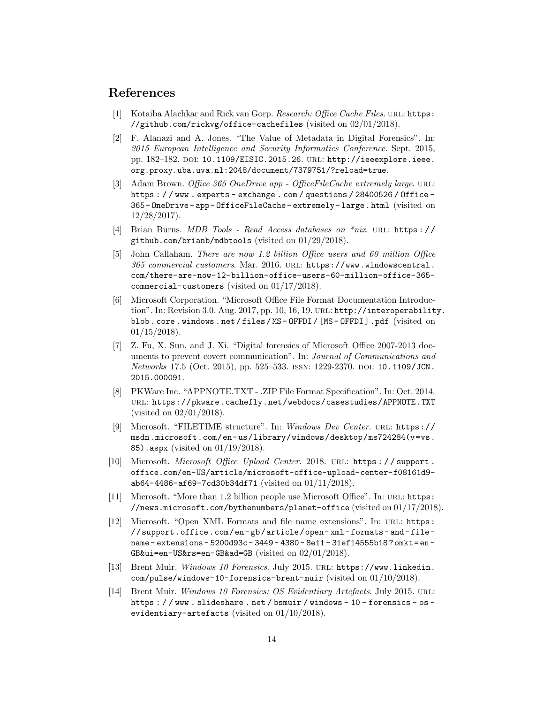## References

- <span id="page-14-8"></span>[1] Kotaiba Alachkar and Rick van Gorp. Research: Office Cache Files. url: [https:](https://github.com/rickvg/office-cachefiles) [//github.com/rickvg/office-cachefiles](https://github.com/rickvg/office-cachefiles) (visited on 02/01/2018).
- <span id="page-14-13"></span>[2] F. Alanazi and A. Jones. "The Value of Metadata in Digital Forensics". In: 2015 European Intelligence and Security Informatics Conference. Sept. 2015, pp. 182–182. doi: [10.1109/EISIC.2015.26](https://doi.org/10.1109/EISIC.2015.26). url: [http://ieeexplore.ieee.](http://ieeexplore.ieee.org.proxy.uba.uva.nl:2048/document/7379751/?reload=true) [org.proxy.uba.uva.nl:2048/document/7379751/?reload=true](http://ieeexplore.ieee.org.proxy.uba.uva.nl:2048/document/7379751/?reload=true).
- <span id="page-14-3"></span>[3] Adam Brown. Office 365 OneDrive app - OfficeFileCache extremely large. URL: [https : / / www . experts - exchange . com / questions / 28400526 / Office -](https://www.experts-exchange.com/questions/28400526/Office-365-OneDrive-app-OfficeFileCache-extremely-large.html) [365- OneDrive- app- OfficeFileCache- extremely- large.html](https://www.experts-exchange.com/questions/28400526/Office-365-OneDrive-app-OfficeFileCache-extremely-large.html) (visited on 12/28/2017).
- <span id="page-14-11"></span>[4] Brian Burns. MDB Tools - Read Access databases on \*nix. url: [https : / /](https://github.com/brianb/mdbtools) [github.com/brianb/mdbtools](https://github.com/brianb/mdbtools) (visited on 01/29/2018).
- <span id="page-14-5"></span>[5] John Callaham. There are now 1.2 billion Office users and 60 million Office 365 commercial customers. Mar. 2016. url: [https://www.windowscentral.](https://www.windowscentral.com/there-are-now-12-billion-office-users-60-million-office-365-commercial-customers) [com/there-are-now-12-billion-office-users-60-million-office-365](https://www.windowscentral.com/there-are-now-12-billion-office-users-60-million-office-365-commercial-customers) [commercial-customers](https://www.windowscentral.com/there-are-now-12-billion-office-users-60-million-office-365-commercial-customers) (visited on 01/17/2018).
- <span id="page-14-7"></span>[6] Microsoft Corporation. "Microsoft Office File Format Documentation Introduction". In: Revision 3.0. Aug. 2017, pp. 10, 16, 19. url: [http://interoperabilit](http://interoperability.blob.core.windows.net/files/MS-OFFDI/[MS-OFFDI].pdf)y. [blob . core . windows . net / files / MS - OFFDI / \[MS - OFFDI \] .pdf](http://interoperability.blob.core.windows.net/files/MS-OFFDI/[MS-OFFDI].pdf) (visited on  $01/15/2018$ .
- <span id="page-14-6"></span>[7] Z. Fu, X. Sun, and J. Xi. "Digital forensics of Microsoft Office 2007-2013 documents to prevent covert communication". In: Journal of Communications and Networks 17.5 (Oct. 2015), pp. 525-533. ISSN: 1229-2370. DOI: [10.1109/JCN.](https://doi.org/10.1109/JCN.2015.000091) [2015.000091](https://doi.org/10.1109/JCN.2015.000091).
- <span id="page-14-10"></span>[8] PKWare Inc. "APPNOTE.TXT - .ZIP File Format Specification". In: Oct. 2014. url: <https://pkware.cachefly.net/webdocs/casestudies/APPNOTE.TXT> (visited on 02/01/2018).
- <span id="page-14-12"></span>[9] Microsoft. "FILETIME structure". In: Windows Dev Center. url: [https://](https://msdn.microsoft.com/en-us/library/windows/desktop/ms724284(v=vs.85).aspx) [msdn.microsoft.com/en- us/library/windows/desktop/ms724284\(v=vs.](https://msdn.microsoft.com/en-us/library/windows/desktop/ms724284(v=vs.85).aspx) [85\).aspx](https://msdn.microsoft.com/en-us/library/windows/desktop/ms724284(v=vs.85).aspx) (visited on 01/19/2018).
- <span id="page-14-0"></span>[10] Microsoft. *Microsoft Office Upload Center.* 2018. URL: https://support. [office.com/en-US/article/microsoft-office-upload-center-f08161d9](https://support.office.com/en-US/article/microsoft-office-upload-center-f08161d9-ab64-4486-af69-7cd30b34df71) [ab64-4486-af69-7cd30b34df71](https://support.office.com/en-US/article/microsoft-office-upload-center-f08161d9-ab64-4486-af69-7cd30b34df71) (visited on 01/11/2018).
- <span id="page-14-4"></span>[11] Microsoft. "More than 1.2 billion people use Microsoft Office". In: url: [https:](https://news.microsoft.com/bythenumbers/planet-office) [//news.microsoft.com/bythenumbers/planet-office](https://news.microsoft.com/bythenumbers/planet-office) (visited on 01/17/2018).
- <span id="page-14-9"></span>[12] Microsoft. "Open XML Formats and file name extensions". In: url: [https:](https://support.office.com/en-gb/article/open-xml-formats-and-file-name-extensions-5200d93c-3449-4380-8e11-31ef14555b18?omkt=en-GB&ui=en-US&rs=en-GB&ad=GB) [//support.office.com/en- gb/article/open- xml- formats- and- file](https://support.office.com/en-gb/article/open-xml-formats-and-file-name-extensions-5200d93c-3449-4380-8e11-31ef14555b18?omkt=en-GB&ui=en-US&rs=en-GB&ad=GB)[name - extensions - 5200d93c - 3449 - 4380 - 8e11 - 31ef14555b18 ? omkt = en -](https://support.office.com/en-gb/article/open-xml-formats-and-file-name-extensions-5200d93c-3449-4380-8e11-31ef14555b18?omkt=en-GB&ui=en-US&rs=en-GB&ad=GB) [GB&ui=en-US&rs=en-GB&ad=GB](https://support.office.com/en-gb/article/open-xml-formats-and-file-name-extensions-5200d93c-3449-4380-8e11-31ef14555b18?omkt=en-GB&ui=en-US&rs=en-GB&ad=GB) (visited on  $02/01/2018$ ).
- <span id="page-14-1"></span>[13] Brent Muir. Windows 10 Forensics. July 2015. url: [https://www.linkedin.](https://www.linkedin.com/pulse/windows-10-forensics-brent-muir) [com/pulse/windows-10-forensics-brent-muir](https://www.linkedin.com/pulse/windows-10-forensics-brent-muir) (visited on 01/10/2018).
- <span id="page-14-2"></span>[14] Brent Muir. Windows 10 Forensics: OS Evidentiary Artefacts. July 2015. url: [https : / / www . slideshare . net / bsmuir / windows - 10 - forensics - os](https://www.slideshare.net/bsmuir/windows-10-forensics-os-evidentiary-artefacts)  [evidentiary-artefacts](https://www.slideshare.net/bsmuir/windows-10-forensics-os-evidentiary-artefacts) (visited on 01/10/2018).